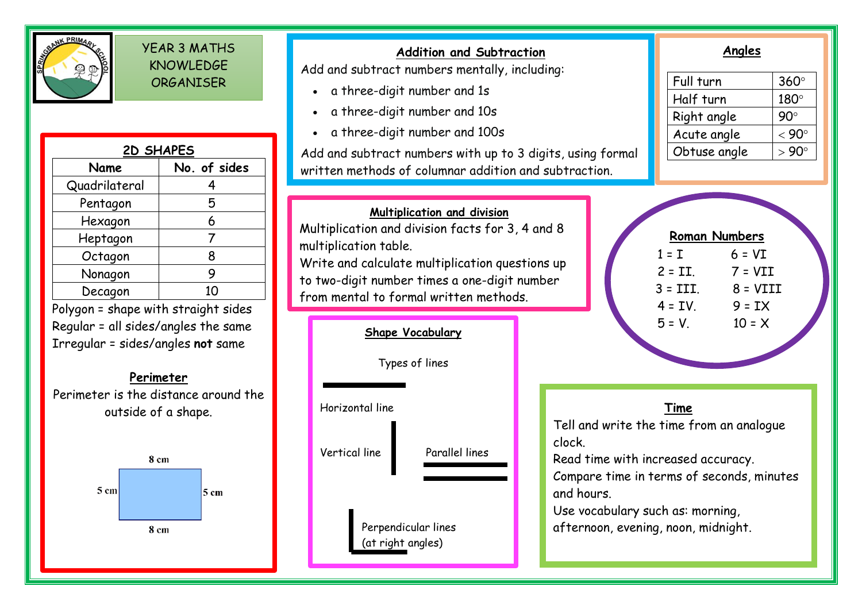

YEAR 3 MATHS KNOWLEDGE ORGANISER

| <b>2D SHAPES</b> |              |  |
|------------------|--------------|--|
| Name             | No. of sides |  |
| Quadrilateral    |              |  |
| Pentagon         | 5            |  |
| Hexagon          | 6            |  |
| Heptagon         |              |  |
| Octagon          | 8            |  |
| Nonagon          | 9            |  |
| Decagon          | 10           |  |

Polygon = shape with straight sides Regular = all sides/angles the same Irregular = sides/angles **not** same

## **Perimeter**

Perimeter is the distance around the outside of a shape.



| <b>Addition and Subtraction</b><br>Add and subtract numbers mentally, including:<br>a three-digit number and 1s<br>$\bullet$<br>a three-digit number and 10s<br>$\bullet$<br>a three-digit number and 100s<br>Add and subtract numbers with up to 3 digits, using formal<br>written methods of columnar addition and subtraction.                                                                                                         | Angles<br>Full turn<br>$360^\circ$<br>Half turn<br>180°<br>$90^\circ$<br>Right angle<br>Acute angle<br>$< 90^{\circ}$<br>$>90^\circ$<br>Obtuse angle                                                                                   |  |
|-------------------------------------------------------------------------------------------------------------------------------------------------------------------------------------------------------------------------------------------------------------------------------------------------------------------------------------------------------------------------------------------------------------------------------------------|----------------------------------------------------------------------------------------------------------------------------------------------------------------------------------------------------------------------------------------|--|
| Multiplication and division<br>Multiplication and division facts for 3, 4 and 8<br><b>Roman Numbers</b><br>multiplication table.<br>$1 = I$<br>$6 = VI$<br>Write and calculate multiplication questions up<br>$2 = \text{II}$<br>$7 = VII$<br>to two-digit number times a one-digit number<br>$3 = III.$ 8 = VIII<br>from mental to formal written methods.<br>$4 = IV$ .<br>$9 = IX$<br>$5 = V$ .<br>$10 = X$<br><b>Shape Vocabulary</b> |                                                                                                                                                                                                                                        |  |
| Types of lines<br>Horizontal line<br>Vertical line<br><b>Parallel lines</b><br>Perpendicular lines<br>(at right angles)                                                                                                                                                                                                                                                                                                                   | Time<br>Tell and write the time from an analogue<br>clock.<br>Read time with increased accuracy.<br>Compare time in terms of seconds, minutes<br>and hours.<br>Use vocabulary such as: morning,<br>afternoon, evening, noon, midnight. |  |